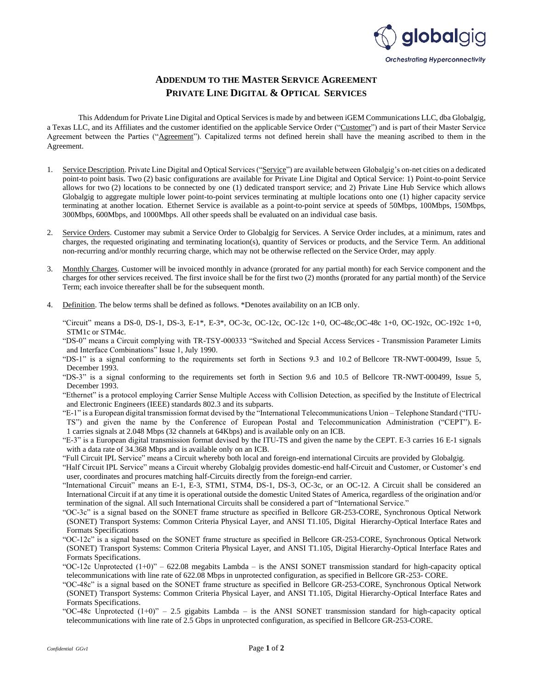

## **ADDENDUM TO THE MASTER SERVICE AGREEMENT PRIVATE LINE DIGITAL & OPTICAL SERVICES**

This Addendum for Private Line Digital and Optical Services is made by and between iGEM Communications LLC, dba Globalgig, a Texas LLC, and its Affiliates and the customer identified on the applicable Service Order ("Customer") and is part of their Master Service Agreement between the Parties ("Agreement"). Capitalized terms not defined herein shall have the meaning ascribed to them in the Agreement.

- 1. Service Description. Private Line Digital and Optical Services ("Service") are available between Globalgig's on-net cities on a dedicated point-to point basis. Two (2) basic configurations are available for Private Line Digital and Optical Service: 1) Point-to-point Service allows for two (2) locations to be connected by one (1) dedicated transport service; and 2) Private Line Hub Service which allows Globalgig to aggregate multiple lower point-to-point services terminating at multiple locations onto one (1) higher capacity service terminating at another location. Ethernet Service is available as a point-to-point service at speeds of 50Mbps, 100Mbps, 150Mbps, 300Mbps, 600Mbps, and 1000Mbps. All other speeds shall be evaluated on an individual case basis.
- 2. Service Orders. Customer may submit a Service Order to Globalgig for Services. A Service Order includes, at a minimum, rates and charges, the requested originating and terminating location(s), quantity of Services or products, and the Service Term. An additional non-recurring and/or monthly recurring charge, which may not be otherwise reflected on the Service Order, may apply.
- 3. Monthly Charges. Customer will be invoiced monthly in advance (prorated for any partial month) for each Service component and the charges for other services received. The first invoice shall be for the first two (2) months (prorated for any partial month) of the Service Term; each invoice thereafter shall be for the subsequent month.
- 4. Definition. The below terms shall be defined as follows. \*Denotes availability on an ICB only.

"Circuit" means a DS-0, DS-1, DS-3, E-1\*, E-3\*, OC-3c, OC-12c, OC-12c 1+0, OC-48c,OC-48c 1+0, OC-192c, OC-192c 1+0, STM1c or STM4c.

"DS-0" means a Circuit complying with TR-TSY-000333 "Switched and Special Access Services - Transmission Parameter Limits and Interface Combinations" Issue 1, July 1990.

- "DS-1" is a signal conforming to the requirements set forth in Sections 9.3 and 10.2 of Bellcore TR-NWT-000499, Issue 5, December 1993.
- "DS-3" is a signal conforming to the requirements set forth in Section 9.6 and 10.5 of Bellcore TR-NWT-000499, Issue 5, December 1993.
- "Ethernet" is a protocol employing Carrier Sense Multiple Access with Collision Detection, as specified by the Institute of Electrical and Electronic Engineers (IEEE) standards 802.3 and its subparts.
- "E-1" is a European digital transmission format devised by the "International Telecommunications Union Telephone Standard ("ITU-TS") and given the name by the Conference of European Postal and Telecommunication Administration ("CEPT"). E-1 carries signals at 2.048 Mbps (32 channels at 64Kbps) and is available only on an ICB.
- "E-3" is a European digital transmission format devised by the ITU-TS and given the name by the CEPT. E-3 carries 16 E-1 signals with a data rate of 34.368 Mbps and is available only on an ICB.
- "Full Circuit IPL Service" means a Circuit whereby both local and foreign-end international Circuits are provided by Globalgig.
- "Half Circuit IPL Service" means a Circuit whereby Globalgig provides domestic-end half-Circuit and Customer, or Customer's end user, coordinates and procures matching half-Circuits directly from the foreign-end carrier.
- "International Circuit" means an E-1, E-3, STM1, STM4, DS-1, DS-3, OC-3c, or an OC-12. A Circuit shall be considered an International Circuit if at any time it is operational outside the domestic United States of America, regardless of the origination and/or termination of the signal. All such International Circuits shall be considered a part of "International Service."
- "OC-3c" is a signal based on the SONET frame structure as specified in Bellcore GR-253-CORE, Synchronous Optical Network (SONET) Transport Systems: Common Criteria Physical Layer, and ANSI T1.105, Digital Hierarchy-Optical Interface Rates and Formats Specifications
- "OC-12c" is a signal based on the SONET frame structure as specified in Bellcore GR-253-CORE, Synchronous Optical Network (SONET) Transport Systems: Common Criteria Physical Layer, and ANSI T1.105, Digital Hierarchy-Optical Interface Rates and Formats Specifications.
- "OC-12c Unprotected  $(1+0)$ " 622.08 megabits Lambda is the ANSI SONET transmission standard for high-capacity optical telecommunications with line rate of 622.08 Mbps in unprotected configuration, as specified in Bellcore GR-253- CORE.
- "OC-48c" is a signal based on the SONET frame structure as specified in Bellcore GR-253-CORE, Synchronous Optical Network (SONET) Transport Systems: Common Criteria Physical Layer, and ANSI T1.105, Digital Hierarchy-Optical Interface Rates and Formats Specifications.
- "OC-48c Unprotected  $(1+0)$ " 2.5 gigabits Lambda is the ANSI SONET transmission standard for high-capacity optical telecommunications with line rate of 2.5 Gbps in unprotected configuration, as specified in Bellcore GR-253-CORE.